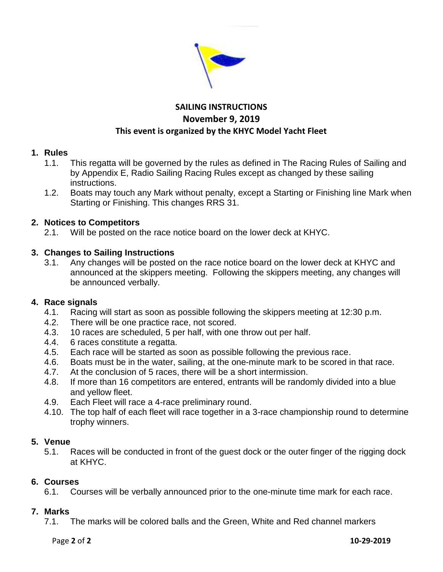

# **SAILING INSTRUCTIONS November 9, 2019 This event is organized by the KHYC Model Yacht Fleet**

## **1. Rules**

- 1.1. This regatta will be governed by the rules as defined in The Racing Rules of Sailing and by Appendix E, Radio Sailing Racing Rules except as changed by these sailing instructions.
- 1.2. Boats may touch any Mark without penalty, except a Starting or Finishing line Mark when Starting or Finishing. This changes RRS 31.

# **2. Notices to Competitors**

2.1. Will be posted on the race notice board on the lower deck at KHYC.

## **3. Changes to Sailing Instructions**

3.1. Any changes will be posted on the race notice board on the lower deck at KHYC and announced at the skippers meeting. Following the skippers meeting, any changes will be announced verbally.

#### **4. Race signals**

- 4.1. Racing will start as soon as possible following the skippers meeting at 12:30 p.m.
- 4.2. There will be one practice race, not scored.
- 4.3. 10 races are scheduled, 5 per half, with one throw out per half.
- 4.4. 6 races constitute a regatta.
- 4.5. Each race will be started as soon as possible following the previous race.
- 4.6. Boats must be in the water, sailing, at the one-minute mark to be scored in that race.
- 4.7. At the conclusion of 5 races, there will be a short intermission.
- 4.8. If more than 16 competitors are entered, entrants will be randomly divided into a blue and yellow fleet.
- 4.9. Each Fleet will race a 4-race preliminary round.
- 4.10. The top half of each fleet will race together in a 3-race championship round to determine trophy winners.

#### **5. Venue**

5.1. Races will be conducted in front of the guest dock or the outer finger of the rigging dock at KHYC.

#### **6. Courses**

6.1. Courses will be verbally announced prior to the one-minute time mark for each race.

#### **7. Marks**

7.1. The marks will be colored balls and the Green, White and Red channel markers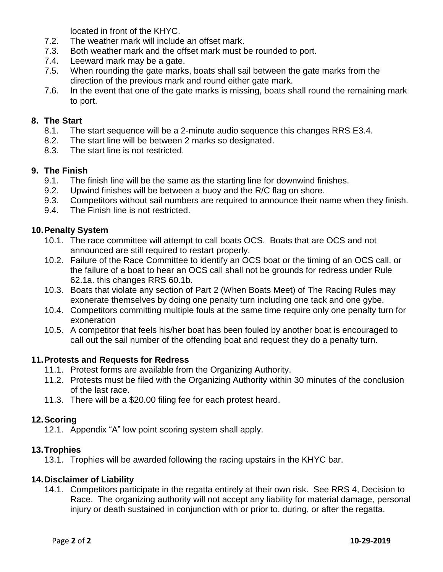located in front of the KHYC.

- 7.2. The weather mark will include an offset mark.
- 7.3. Both weather mark and the offset mark must be rounded to port.
- 7.4. Leeward mark may be a gate.
- 7.5. When rounding the gate marks, boats shall sail between the gate marks from the direction of the previous mark and round either gate mark.
- 7.6. In the event that one of the gate marks is missing, boats shall round the remaining mark to port.

#### **8. The Start**

- 8.1. The start sequence will be a 2-minute audio sequence this changes RRS E3.4.
- 8.2. The start line will be between 2 marks so designated.
- 8.3. The start line is not restricted.

## **9. The Finish**

- 9.1. The finish line will be the same as the starting line for downwind finishes.
- 9.2. Upwind finishes will be between a buoy and the R/C flag on shore.
- 9.3. Competitors without sail numbers are required to announce their name when they finish.
- 9.4. The Finish line is not restricted.

# **10.Penalty System**

- 10.1. The race committee will attempt to call boats OCS. Boats that are OCS and not announced are still required to restart properly.
- 10.2. Failure of the Race Committee to identify an OCS boat or the timing of an OCS call, or the failure of a boat to hear an OCS call shall not be grounds for redress under Rule 62.1a. this changes RRS 60.1b.
- 10.3. Boats that violate any section of Part 2 (When Boats Meet) of The Racing Rules may exonerate themselves by doing one penalty turn including one tack and one gybe.
- 10.4. Competitors committing multiple fouls at the same time require only one penalty turn for exoneration
- 10.5. A competitor that feels his/her boat has been fouled by another boat is encouraged to call out the sail number of the offending boat and request they do a penalty turn.

#### **11.Protests and Requests for Redress**

- 11.1. Protest forms are available from the Organizing Authority.
- 11.2. Protests must be filed with the Organizing Authority within 30 minutes of the conclusion of the last race.
- 11.3. There will be a \$20.00 filing fee for each protest heard.

#### **12.Scoring**

12.1. Appendix "A" low point scoring system shall apply.

#### **13.Trophies**

13.1. Trophies will be awarded following the racing upstairs in the KHYC bar.

# **14.Disclaimer of Liability**

14.1. Competitors participate in the regatta entirely at their own risk. See RRS 4, Decision to Race. The organizing authority will not accept any liability for material damage, personal injury or death sustained in conjunction with or prior to, during, or after the regatta.